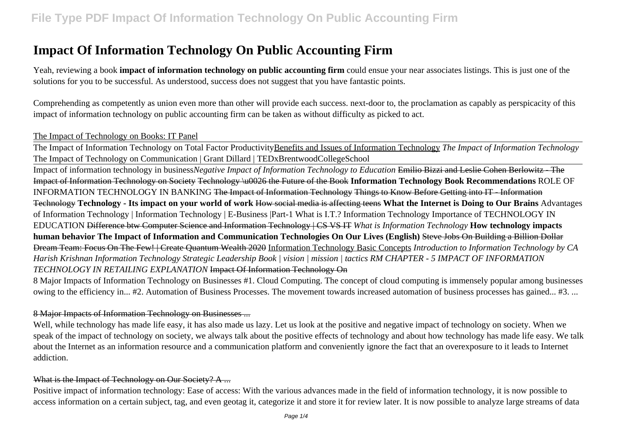# **Impact Of Information Technology On Public Accounting Firm**

Yeah, reviewing a book **impact of information technology on public accounting firm** could ensue your near associates listings. This is just one of the solutions for you to be successful. As understood, success does not suggest that you have fantastic points.

Comprehending as competently as union even more than other will provide each success. next-door to, the proclamation as capably as perspicacity of this impact of information technology on public accounting firm can be taken as without difficulty as picked to act.

### The Impact of Technology on Books: IT Panel

The Impact of Information Technology on Total Factor ProductivityBenefits and Issues of Information Technology *The Impact of Information Technology* The Impact of Technology on Communication | Grant Dillard | TEDxBrentwoodCollegeSchool

Impact of information technology in business*Negative Impact of Information Technology to Education* Emilio Bizzi and Leslie Cohen Berlowitz - The Impact of Information Technology on Society Technology \u0026 the Future of the Book **Information Technology Book Recommendations** ROLE OF INFORMATION TECHNOLOGY IN BANKING The Impact of Information Technology Things to Know Before Getting into IT - Information Technology **Technology - Its impact on your world of work** How social media is affecting teens **What the Internet is Doing to Our Brains** Advantages of Information Technology | Information Technology | E-Business |Part-1 What is I.T.? Information Technology Importance of TECHNOLOGY IN EDUCATION Difference btw Computer Science and Information Technology | CS VS IT *What is Information Technology* **How technology impacts human behavior The Impact of Information and Communication Technologies On Our Lives (English)** Steve Jobs On Building a Billion Dollar Dream Team: Focus On The Few! | Create Quantum Wealth 2020 Information Technology Basic Concepts *Introduction to Information Technology by CA Harish Krishnan Information Technology Strategic Leadership Book | vision | mission | tactics RM CHAPTER - 5 IMPACT OF INFORMATION TECHNOLOGY IN RETAILING EXPLANATION* Impact Of Information Technology On

8 Major Impacts of Information Technology on Businesses #1. Cloud Computing. The concept of cloud computing is immensely popular among businesses owing to the efficiency in... #2. Automation of Business Processes. The movement towards increased automation of business processes has gained... #3. ...

### 8 Major Impacts of Information Technology on Businesses ...

Well, while technology has made life easy, it has also made us lazy. Let us look at the positive and negative impact of technology on society. When we speak of the impact of technology on society, we always talk about the positive effects of technology and about how technology has made life easy. We talk about the Internet as an information resource and a communication platform and conveniently ignore the fact that an overexposure to it leads to Internet addiction.

## What is the Impact of Technology on Our Society? A ...

Positive impact of information technology: Ease of access: With the various advances made in the field of information technology, it is now possible to access information on a certain subject, tag, and even geotag it, categorize it and store it for review later. It is now possible to analyze large streams of data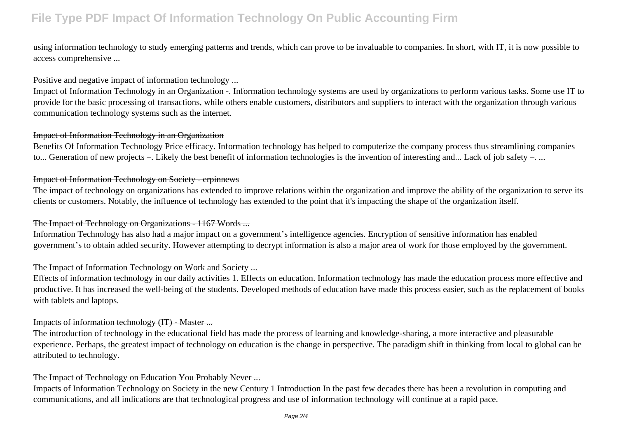using information technology to study emerging patterns and trends, which can prove to be invaluable to companies. In short, with IT, it is now possible to access comprehensive ...

### Positive and negative impact of information technology ...

Impact of Information Technology in an Organization -. Information technology systems are used by organizations to perform various tasks. Some use IT to provide for the basic processing of transactions, while others enable customers, distributors and suppliers to interact with the organization through various communication technology systems such as the internet.

### Impact of Information Technology in an Organization

Benefits Of Information Technology Price efficacy. Information technology has helped to computerize the company process thus streamlining companies to... Generation of new projects –. Likely the best benefit of information technologies is the invention of interesting and... Lack of job safety –. ...

### Impact of Information Technology on Society - erpinnews

The impact of technology on organizations has extended to improve relations within the organization and improve the ability of the organization to serve its clients or customers. Notably, the influence of technology has extended to the point that it's impacting the shape of the organization itself.

### The Impact of Technology on Organizations - 1167 Words ...

Information Technology has also had a major impact on a government's intelligence agencies. Encryption of sensitive information has enabled government's to obtain added security. However attempting to decrypt information is also a major area of work for those employed by the government.

### The Impact of Information Technology on Work and Society ...

Effects of information technology in our daily activities 1. Effects on education. Information technology has made the education process more effective and productive. It has increased the well-being of the students. Developed methods of education have made this process easier, such as the replacement of books with tablets and laptops.

### Impacts of information technology (IT) - Master ...

The introduction of technology in the educational field has made the process of learning and knowledge-sharing, a more interactive and pleasurable experience. Perhaps, the greatest impact of technology on education is the change in perspective. The paradigm shift in thinking from local to global can be attributed to technology.

### The Impact of Technology on Education You Probably Never ...

Impacts of Information Technology on Society in the new Century 1 Introduction In the past few decades there has been a revolution in computing and communications, and all indications are that technological progress and use of information technology will continue at a rapid pace.

Page 2/4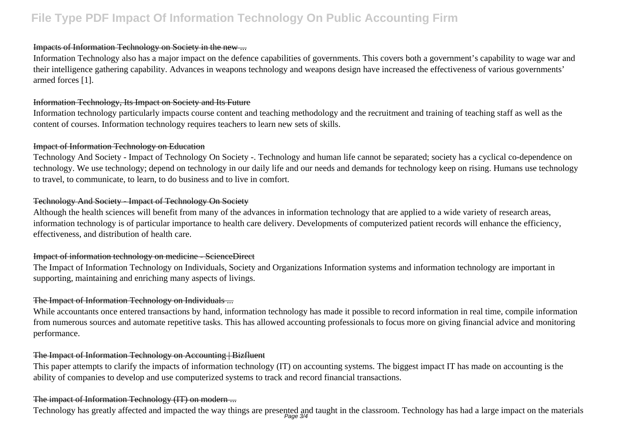## **File Type PDF Impact Of Information Technology On Public Accounting Firm**

### Impacts of Information Technology on Society in the new ...

Information Technology also has a major impact on the defence capabilities of governments. This covers both a government's capability to wage war and their intelligence gathering capability. Advances in weapons technology and weapons design have increased the effectiveness of various governments' armed forces [1].

#### Information Technology, Its Impact on Society and Its Future

Information technology particularly impacts course content and teaching methodology and the recruitment and training of teaching staff as well as the content of courses. Information technology requires teachers to learn new sets of skills.

#### Impact of Information Technology on Education

Technology And Society - Impact of Technology On Society -. Technology and human life cannot be separated; society has a cyclical co-dependence on technology. We use technology; depend on technology in our daily life and our needs and demands for technology keep on rising. Humans use technology to travel, to communicate, to learn, to do business and to live in comfort.

### Technology And Society - Impact of Technology On Society

Although the health sciences will benefit from many of the advances in information technology that are applied to a wide variety of research areas, information technology is of particular importance to health care delivery. Developments of computerized patient records will enhance the efficiency, effectiveness, and distribution of health care.

## Impact of information technology on medicine - ScienceDirect

The Impact of Information Technology on Individuals, Society and Organizations Information systems and information technology are important in supporting, maintaining and enriching many aspects of livings.

### The Impact of Information Technology on Individuals ...

While accountants once entered transactions by hand, information technology has made it possible to record information in real time, compile information from numerous sources and automate repetitive tasks. This has allowed accounting professionals to focus more on giving financial advice and monitoring performance.

### The Impact of Information Technology on Accounting | Bizfluent

This paper attempts to clarify the impacts of information technology (IT) on accounting systems. The biggest impact IT has made on accounting is the ability of companies to develop and use computerized systems to track and record financial transactions.

## The impact of Information Technology (IT) on modern ...

Technology has greatly affected and impacted the way things are presented and taught in the classroom. Technology has had a large impact on the materials